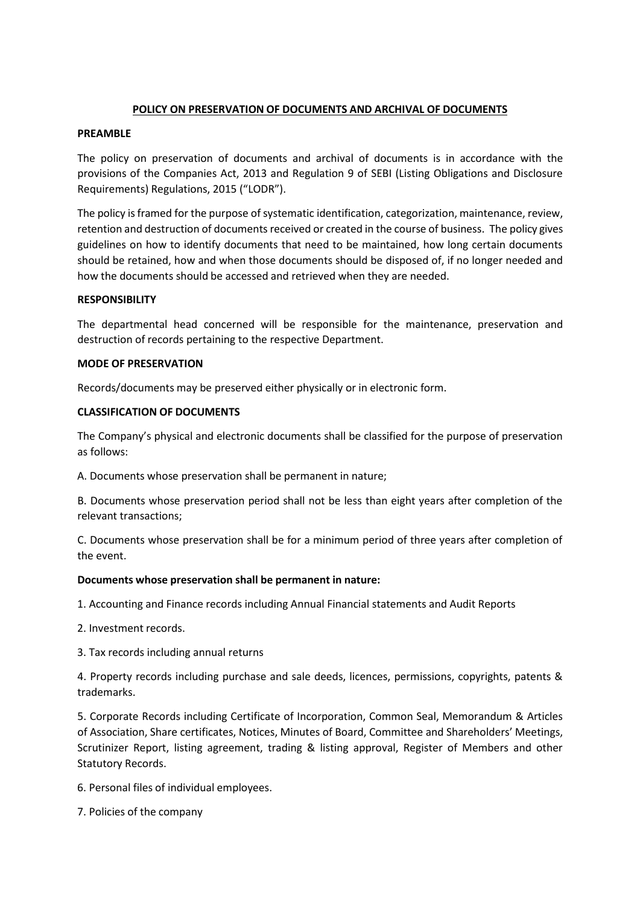## **POLICY ON PRESERVATION OF DOCUMENTS AND ARCHIVAL OF DOCUMENTS**

## **PREAMBLE**

The policy on preservation of documents and archival of documents is in accordance with the provisions of the Companies Act, 2013 and Regulation 9 of SEBI (Listing Obligations and Disclosure Requirements) Regulations, 2015 ("LODR").

The policy is framed for the purpose of systematic identification, categorization, maintenance, review, retention and destruction of documents received or created in the course of business. The policy gives guidelines on how to identify documents that need to be maintained, how long certain documents should be retained, how and when those documents should be disposed of, if no longer needed and how the documents should be accessed and retrieved when they are needed.

## **RESPONSIBILITY**

The departmental head concerned will be responsible for the maintenance, preservation and destruction of records pertaining to the respective Department.

## **MODE OF PRESERVATION**

Records/documents may be preserved either physically or in electronic form.

## **CLASSIFICATION OF DOCUMENTS**

The Company's physical and electronic documents shall be classified for the purpose of preservation as follows:

A. Documents whose preservation shall be permanent in nature;

B. Documents whose preservation period shall not be less than eight years after completion of the relevant transactions;

C. Documents whose preservation shall be for a minimum period of three years after completion of the event.

## **Documents whose preservation shall be permanent in nature:**

1. Accounting and Finance records including Annual Financial statements and Audit Reports

2. Investment records.

3. Tax records including annual returns

4. Property records including purchase and sale deeds, licences, permissions, copyrights, patents & trademarks.

5. Corporate Records including Certificate of Incorporation, Common Seal, Memorandum & Articles of Association, Share certificates, Notices, Minutes of Board, Committee and Shareholders' Meetings, Scrutinizer Report, listing agreement, trading & listing approval, Register of Members and other Statutory Records.

6. Personal files of individual employees.

7. Policies of the company